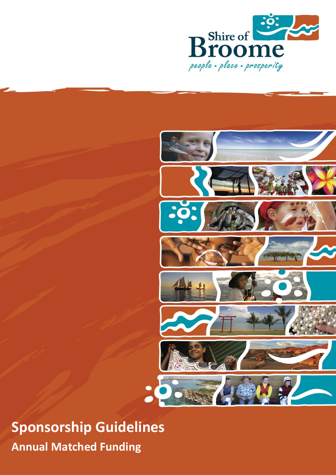



**Sponsorship Guidelines Annual Matched Funding**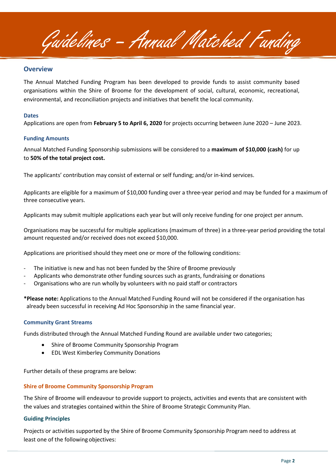Guidelines – Annual Matched Funding

### **Overview**

The Annual Matched Funding Program has been developed to provide funds to assist community based organisations within the Shire of Broome for the development of social, cultural, economic, recreational, environmental, and reconciliation projects and initiatives that benefit the local community.

#### **Dates**

Applications are open from **February 5 to April 6, 2020** for projects occurring between June 2020 – June 2023.

#### **Funding Amounts**

Annual Matched Funding Sponsorship submissions will be considered to a **maximum of \$10,000 (cash)** for up to **50% of the total project cost.**

The applicants' contribution may consist of external or self funding; and/or in-kind services.

Applicants are eligible for a maximum of \$10,000 funding over a three-year period and may be funded for a maximum of three consecutive years.

Applicants may submit multiple applications each year but will only receive funding for one project per annum.

Organisations may be successful for multiple applications (maximum of three) in a three-year period providing the total amount requested and/or received does not exceed \$10,000.

Applications are prioritised should they meet one or more of the following conditions:

- The initiative is new and has not been funded by the Shire of Broome previously
- Applicants who demonstrate other funding sources such as grants, fundraising or donations
- Organisations who are run wholly by volunteers with no paid staff or contractors
- **\*Please note:** Applications to the Annual Matched Funding Round will not be considered if the organisation has already been successful in receiving Ad Hoc Sponsorship in the same financial year.

#### **Community Grant Streams**

Funds distributed through the Annual Matched Funding Round are available under two categories;

- Shire of Broome Community Sponsorship Program
- EDL West Kimberley Community Donations

Further details of these programs are below:

### **Shire of Broome Community Sponsorship Program**

The Shire of Broome will endeavour to provide support to projects, activities and events that are consistent with the values and strategies contained within the Shire of Broome Strategic Community Plan.

### **Guiding Principles**

Projects or activities supported by the Shire of Broome Community Sponsorship Program need to address at least one of the following objectives: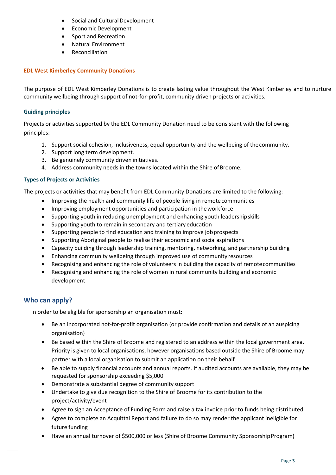- Social and Cultural Development
- Economic Development
- Sport and Recreation
- Natural Environment
- **Reconciliation**

# **EDL West Kimberley Community Donations**

The purpose of EDL West Kimberley Donations is to create lasting value throughout the West Kimberley and to nurture community wellbeing through support of not-for-profit, community driven projects or activities.

### **Guiding principles**

Projects or activities supported by the EDL Community Donation need to be consistent with the following principles:

- 1. Support social cohesion, inclusiveness, equal opportunity and the wellbeing of thecommunity.
- 2. Support long term development.
- 3. Be genuinely community driven initiatives.
- 4. Address community needs in the towns located within the Shire of Broome.

### **Types of Projects or Activities**

The projects or activities that may benefit from EDL Community Donations are limited to the following:

- Improving the health and community life of people living in remotecommunities
- Improving employment opportunities and participation in theworkforce
- Supporting youth in reducing unemployment and enhancing youth leadershipskills
- Supporting youth to remain in secondary and tertiary education
- Supporting people to find education and training to improve jobprospects
- Supporting Aboriginal people to realise their economic and socialaspirations
- Capacity building through leadership training, mentoring, networking, and partnership building
- Enhancing community wellbeing through improved use of community resources
- Recognising and enhancing the role of volunteers in building the capacity of remotecommunities
- Recognising and enhancing the role of women in rural community building and economic development

# **Who can apply?**

In order to be eligible for sponsorship an organisation must:

- Be an incorporated not-for-profit organisation (or provide confirmation and details of an auspicing organisation)
- Be based within the Shire of Broome and registered to an address within the local government area. Priority is given to local organisations, however organisations based outside the Shire of Broome may partner with a local organisation to submit an application on their behalf
- Be able to supply financial accounts and annual reports. If audited accounts are available, they may be requested for sponsorship exceeding \$5,000
- Demonstrate a substantial degree of community support
- Undertake to give due recognition to the Shire of Broome for its contribution to the project/activity/event
- Agree to sign an Acceptance of Funding Form and raise a tax invoice prior to funds being distributed
- Agree to complete an Acquittal Report and failure to do so may render the applicant ineligible for future funding
- Have an annual turnover of \$500,000 or less (Shire of Broome Community Sponsorship Program)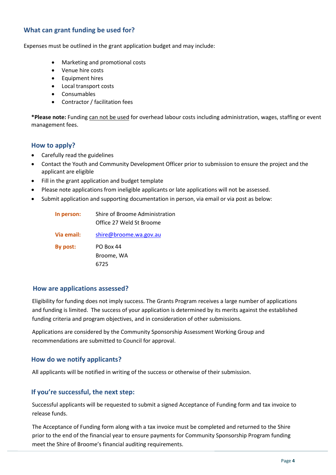# **What can grant funding be used for?**

Expenses must be outlined in the grant application budget and may include:

- Marketing and promotional costs
- Venue hire costs
- Equipment hires
- Local transport costs
- Consumables
- Contractor / facilitation fees

**\*Please note:** Funding can not be used for overhead labour costs including administration, wages, staffing or event management fees.

# **How to apply?**

- Carefully read the guidelines
- Contact the Youth and Community Development Officer prior to submission to ensure the project and the applicant are eligible
- Fill in the grant application and budget template
- Please note applications from ineligible applicants or late applications will not be assessed.
- Submit application and supporting documentation in person, via email or via post as below:

| In person: | Shire of Broome Administration<br>Office 27 Weld St Broome |
|------------|------------------------------------------------------------|
| Via email: | shire@broome.wa.gov.au                                     |
| By post:   | PO Box 44                                                  |
|            | Broome, WA                                                 |
|            | 6725                                                       |

### **How are applications assessed?**

Eligibility for funding does not imply success. The Grants Program receives a large number of applications and funding is limited. The success of your application is determined by its merits against the established funding criteria and program objectives, and in consideration of other submissions.

Applications are considered by the Community Sponsorship Assessment Working Group and recommendations are submitted to Council for approval.

# **How do we notify applicants?**

All applicants will be notified in writing of the success or otherwise of their submission.

# **If you're successful, the next step:**

Successful applicants will be requested to submit a signed Acceptance of Funding form and tax invoice to release funds.

The Acceptance of Funding form along with a tax invoice must be completed and returned to the Shire prior to the end of the financial year to ensure payments for Community Sponsorship Program funding meet the Shire of Broome's financial auditing requirements.